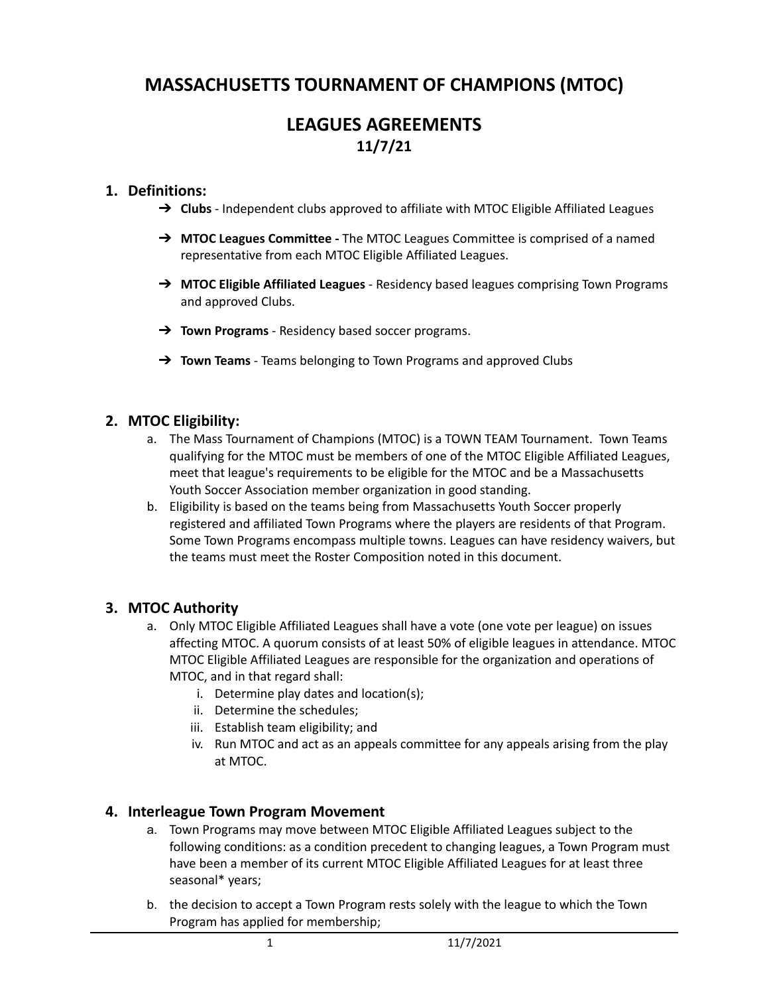# **MASSACHUSETTS TOURNAMENT OF CHAMPIONS (MTOC)**

## **LEAGUES AGREEMENTS 11/7/21**

## **1. Definitions:**

- → **Clubs** Independent clubs approved to affiliate with MTOC Eligible Affiliated Leagues
- ➔ **MTOC Leagues Committee -** The MTOC Leagues Committee is comprised of a named representative from each MTOC Eligible Affiliated Leagues.
- ➔ **MTOC Eligible Affiliated Leagues** Residency based leagues comprising Town Programs and approved Clubs.
- ➔ **Town Programs** Residency based soccer programs.
- ➔ **Town Teams** Teams belonging to Town Programs and approved Clubs

## **2. MTOC Eligibility:**

- a. The Mass Tournament of Champions (MTOC) is a TOWN TEAM Tournament. Town Teams qualifying for the MTOC must be members of one of the MTOC Eligible Affiliated Leagues, meet that league's requirements to be eligible for the MTOC and be a Massachusetts Youth Soccer Association member organization in good standing.
- b. Eligibility is based on the teams being from Massachusetts Youth Soccer properly registered and affiliated Town Programs where the players are residents of that Program. Some Town Programs encompass multiple towns. Leagues can have residency waivers, but the teams must meet the Roster Composition noted in this document.

## **3. MTOC Authority**

- a. Only MTOC Eligible Affiliated Leagues shall have a vote (one vote per league) on issues affecting MTOC. A quorum consists of at least 50% of eligible leagues in attendance. MTOC MTOC Eligible Affiliated Leagues are responsible for the organization and operations of MTOC, and in that regard shall:
	- i. Determine play dates and location(s);
	- ii. Determine the schedules;
	- iii. Establish team eligibility; and
	- iv. Run MTOC and act as an appeals committee for any appeals arising from the play at MTOC.

#### **4. Interleague Town Program Movement**

- a. Town Programs may move between MTOC Eligible Affiliated Leagues subject to the following conditions: as a condition precedent to changing leagues, a Town Program must have been a member of its current MTOC Eligible Affiliated Leagues for at least three seasonal\* years;
- b. the decision to accept a Town Program rests solely with the league to which the Town Program has applied for membership;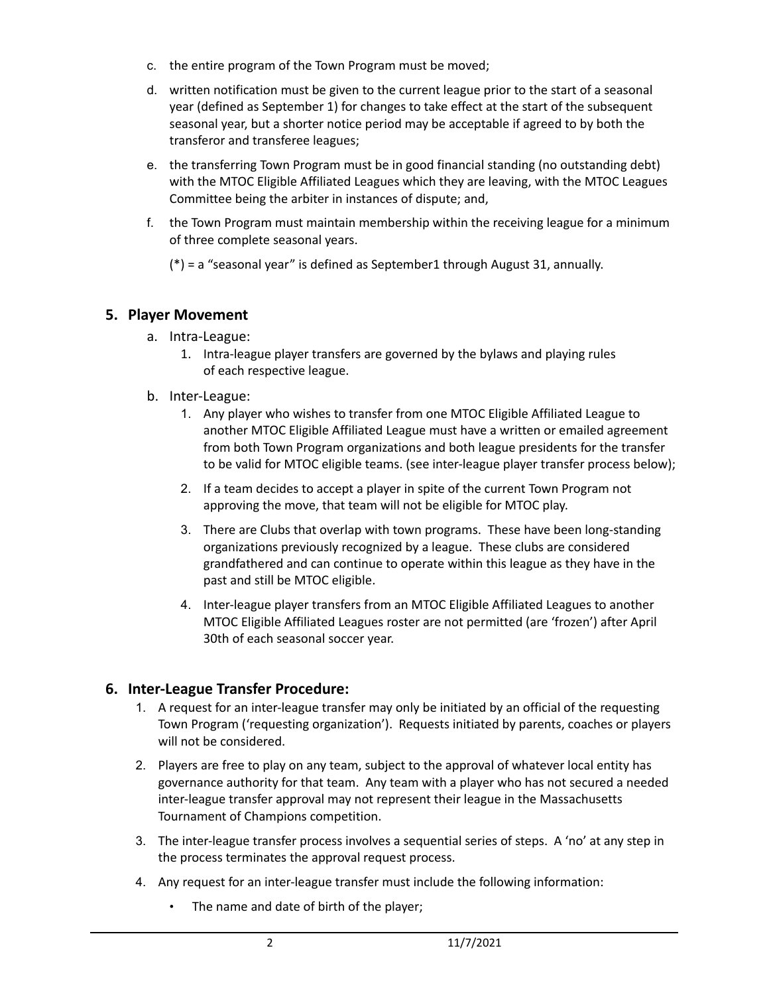- c. the entire program of the Town Program must be moved;
- d. written notification must be given to the current league prior to the start of a seasonal year (defined as September 1) for changes to take effect at the start of the subsequent seasonal year, but a shorter notice period may be acceptable if agreed to by both the transferor and transferee leagues;
- e. the transferring Town Program must be in good financial standing (no outstanding debt) with the MTOC Eligible Affiliated Leagues which they are leaving, with the MTOC Leagues Committee being the arbiter in instances of dispute; and,
- f. the Town Program must maintain membership within the receiving league for a minimum of three complete seasonal years.

(\*) = a "seasonal year" is defined as September1 through August 31, annually.

## **5. Player Movement**

- a. Intra-League:
	- 1. Intra-league player transfers are governed by the bylaws and playing rules of each respective league.
- b. Inter-League:
	- 1. Any player who wishes to transfer from one MTOC Eligible Affiliated League to another MTOC Eligible Affiliated League must have a written or emailed agreement from both Town Program organizations and both league presidents for the transfer to be valid for MTOC eligible teams. (see inter-league player transfer process below);
	- 2. If a team decides to accept a player in spite of the current Town Program not approving the move, that team will not be eligible for MTOC play.
	- 3. There are Clubs that overlap with town programs. These have been long-standing organizations previously recognized by a league. These clubs are considered grandfathered and can continue to operate within this league as they have in the past and still be MTOC eligible.
	- 4. Inter-league player transfers from an MTOC Eligible Affiliated Leagues to another MTOC Eligible Affiliated Leagues roster are not permitted (are 'frozen') after April 30th of each seasonal soccer year.

## **6. Inter-League Transfer Procedure:**

- 1. A request for an inter-league transfer may only be initiated by an official of the requesting Town Program ('requesting organization'). Requests initiated by parents, coaches or players will not be considered.
- 2. Players are free to play on any team, subject to the approval of whatever local entity has governance authority for that team. Any team with a player who has not secured a needed inter-league transfer approval may not represent their league in the Massachusetts Tournament of Champions competition.
- 3. The inter-league transfer process involves a sequential series of steps. A 'no' at any step in the process terminates the approval request process.
- 4. Any request for an inter-league transfer must include the following information:
	- The name and date of birth of the player;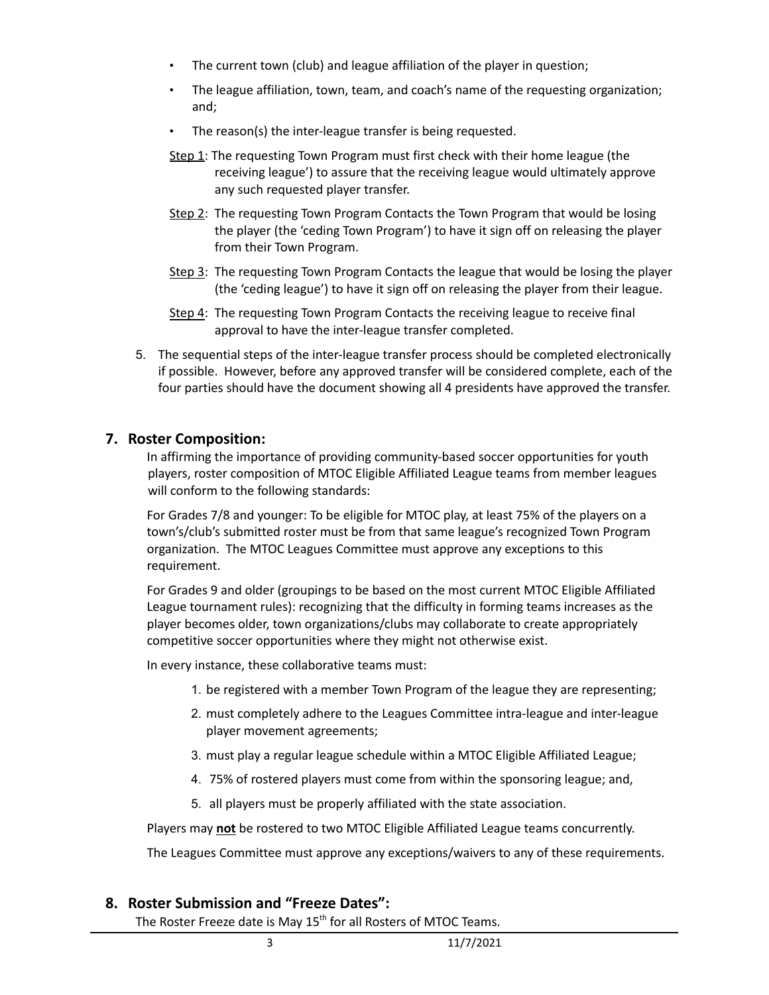- The current town (club) and league affiliation of the player in question;
- The league affiliation, town, team, and coach's name of the requesting organization; and;
- The reason(s) the inter-league transfer is being requested.
- Step 1: The requesting Town Program must first check with their home league (the receiving league') to assure that the receiving league would ultimately approve any such requested player transfer.
- Step 2: The requesting Town Program Contacts the Town Program that would be losing the player (the 'ceding Town Program') to have it sign off on releasing the player from their Town Program.
- Step 3: The requesting Town Program Contacts the league that would be losing the player (the 'ceding league') to have it sign off on releasing the player from their league.
- Step 4: The requesting Town Program Contacts the receiving league to receive final approval to have the inter-league transfer completed.
- 5. The sequential steps of the inter-league transfer process should be completed electronically if possible. However, before any approved transfer will be considered complete, each of the four parties should have the document showing all 4 presidents have approved the transfer.

### **7. Roster Composition:**

In affirming the importance of providing community-based soccer opportunities for youth players, roster composition of MTOC Eligible Affiliated League teams from member leagues will conform to the following standards:

For Grades 7/8 and younger: To be eligible for MTOC play, at least 75% of the players on a town's/club's submitted roster must be from that same league's recognized Town Program organization. The MTOC Leagues Committee must approve any exceptions to this requirement.

For Grades 9 and older (groupings to be based on the most current MTOC Eligible Affiliated League tournament rules): recognizing that the difficulty in forming teams increases as the player becomes older, town organizations/clubs may collaborate to create appropriately competitive soccer opportunities where they might not otherwise exist.

In every instance, these collaborative teams must:

- 1. be registered with a member Town Program of the league they are representing;
- 2. must completely adhere to the Leagues Committee intra-league and inter-league player movement agreements;
- 3. must play a regular league schedule within a MTOC Eligible Affiliated League;
- 4. 75% of rostered players must come from within the sponsoring league; and,
- 5. all players must be properly affiliated with the state association.

Players may **not** be rostered to two MTOC Eligible Affiliated League teams concurrently.

The Leagues Committee must approve any exceptions/waivers to any of these requirements.

## **8. Roster Submission and "Freeze Dates":**

The Roster Freeze date is May 15<sup>th</sup> for all Rosters of MTOC Teams.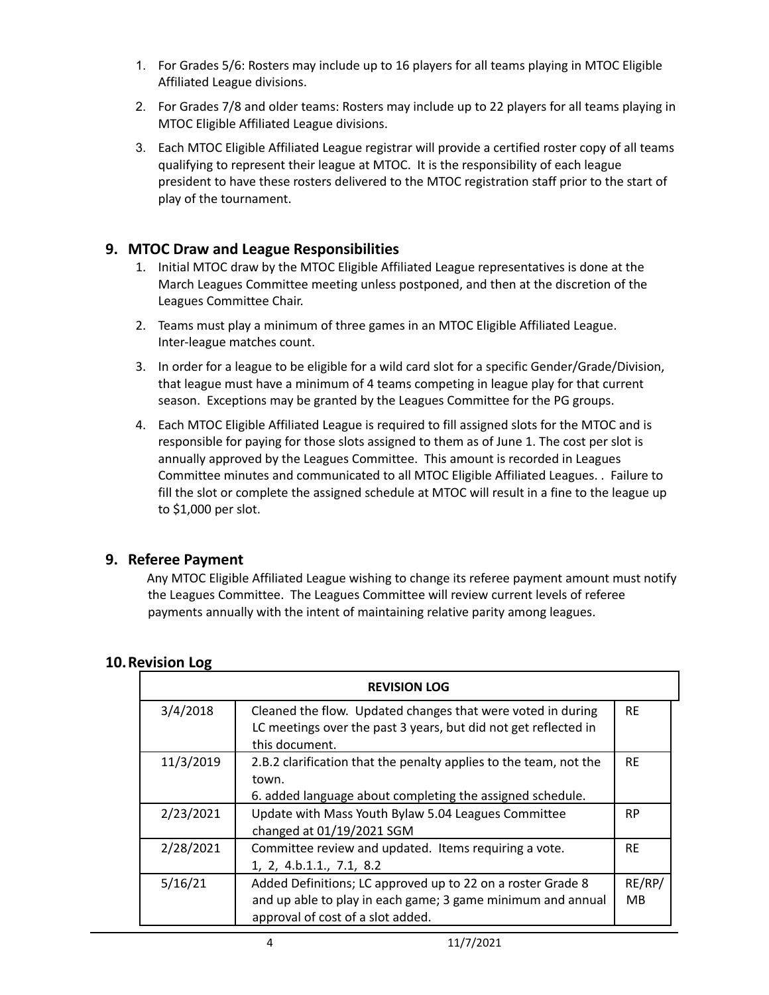- 1. For Grades 5/6: Rosters may include up to 16 players for all teams playing in MTOC Eligible Affiliated League divisions.
- 2. For Grades 7/8 and older teams: Rosters may include up to 22 players for all teams playing in MTOC Eligible Affiliated League divisions.
- 3. Each MTOC Eligible Affiliated League registrar will provide a certified roster copy of all teams qualifying to represent their league at MTOC. It is the responsibility of each league president to have these rosters delivered to the MTOC registration staff prior to the start of play of the tournament.

## **9. MTOC Draw and League Responsibilities**

- 1. Initial MTOC draw by the MTOC Eligible Affiliated League representatives is done at the March Leagues Committee meeting unless postponed, and then at the discretion of the Leagues Committee Chair.
- 2. Teams must play a minimum of three games in an MTOC Eligible Affiliated League. Inter-league matches count.
- 3. In order for a league to be eligible for a wild card slot for a specific Gender/Grade/Division, that league must have a minimum of 4 teams competing in league play for that current season. Exceptions may be granted by the Leagues Committee for the PG groups.
- 4. Each MTOC Eligible Affiliated League is required to fill assigned slots for the MTOC and is responsible for paying for those slots assigned to them as of June 1. The cost per slot is annually approved by the Leagues Committee. This amount is recorded in Leagues Committee minutes and communicated to all MTOC Eligible Affiliated Leagues. . Failure to fill the slot or complete the assigned schedule at MTOC will result in a fine to the league up to \$1,000 per slot.

## **9. Referee Payment**

Any MTOC Eligible Affiliated League wishing to change its referee payment amount must notify the Leagues Committee. The Leagues Committee will review current levels of referee payments annually with the intent of maintaining relative parity among leagues.

| <b>REVISION LOG</b> |                                                                   |           |  |
|---------------------|-------------------------------------------------------------------|-----------|--|
| 3/4/2018            | Cleaned the flow. Updated changes that were voted in during       | <b>RE</b> |  |
|                     | LC meetings over the past 3 years, but did not get reflected in   |           |  |
|                     | this document.                                                    |           |  |
| 11/3/2019           | 2.B.2 clarification that the penalty applies to the team, not the | <b>RE</b> |  |
|                     | town.                                                             |           |  |
|                     | 6. added language about completing the assigned schedule.         |           |  |
| 2/23/2021           | Update with Mass Youth Bylaw 5.04 Leagues Committee               | <b>RP</b> |  |
|                     | changed at 01/19/2021 SGM                                         |           |  |
| 2/28/2021           | Committee review and updated. Items requiring a vote.             | <b>RF</b> |  |
|                     | 1, 2, 4.b.1.1., 7.1, 8.2                                          |           |  |
| 5/16/21             | Added Definitions; LC approved up to 22 on a roster Grade 8       | RE/RP/    |  |
|                     | and up able to play in each game; 3 game minimum and annual       | <b>MB</b> |  |
|                     | approval of cost of a slot added.                                 |           |  |

## **10.Revision Log**